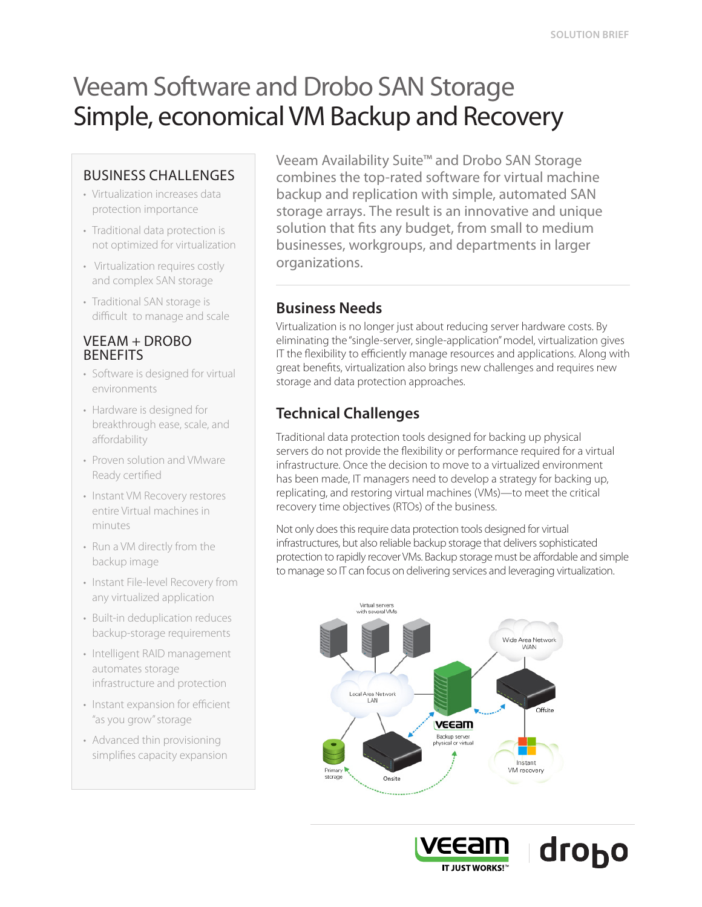# Veeam Software and Drobo SAN Storage Simple, economical VM Backup and Recovery

### BUSINESS CHALLENGES

- Virtualization increases data protection importance
- Traditional data protection is not optimized for virtualization
- Virtualization requires costly and complex SAN storage
- Traditional SAN storage is difficult to manage and scale

#### VEEAM + DROBO **BENEFITS**

- Software is designed for virtual environments
- Hardware is designed for breakthrough ease, scale, and affordability
- Proven solution and VMware Ready certified
- Instant VM Recovery restores entire Virtual machines in minutes
- Run a VM directly from the backup image
- Instant File-level Recovery from any virtualized application
- Built-in deduplication reduces backup-storage requirements
- Intelligent RAID management automates storage infrastructure and protection
- Instant expansion for efficient "as you grow" storage
- Advanced thin provisioning simplifies capacity expansion

Veeam Availability Suite™ and Drobo SAN Storage combines the top-rated software for virtual machine backup and replication with simple, automated SAN storage arrays. The result is an innovative and unique solution that fts any budget, from small to medium businesses, workgroups, and departments in larger organizations.

### **Business Needs**

Virtualization is no longer just about reducing server hardware costs. By eliminating the "single-server, single-application" model, virtualization gives IT the flexibility to efficiently manage resources and applications. Along with great benefits, virtualization also brings new challenges and requires new storage and data protection approaches.

# **Technical Challenges**

Traditional data protection tools designed for backing up physical servers do not provide the flexibility or performance required for a virtual infrastructure. Once the decision to move to a virtualized environment has been made, IT managers need to develop a strategy for backing up, replicating, and restoring virtual machines (VMs)—to meet the critical recovery time objectives (RTOs) of the business.

Not only does this require data protection tools designed for virtual infrastructures, but also reliable backup storage that delivers sophisticated protection to rapidly recover VMs. Backup storage must be affordable and simple to manage so IT can focus on delivering services and leveraging virtualization.